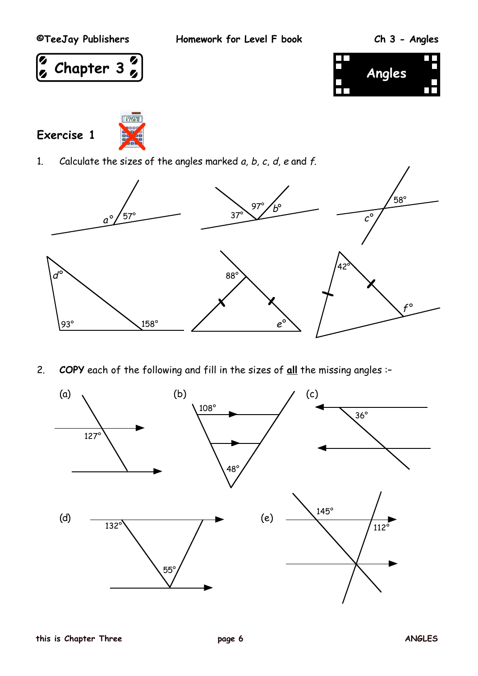**©TeeJay Publishers Homework for Level F book Ch 3 - Angles**





**Exercise 1**



1. Calculate the sizes of the angles marked  $a, b, c, d, e$  and  $f$ .



2. **COPY** each of the following and fill in the sizes of **all** the missing angles :–

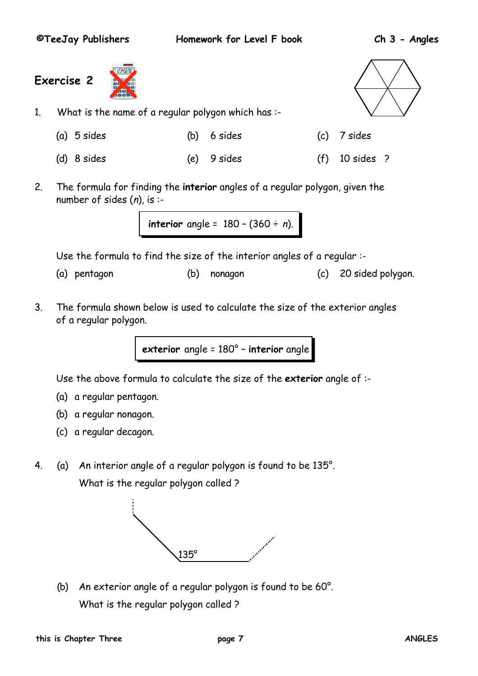**©TeeJay Publishers Homework for Level F book Ch 3 - Angles**

**Exercise 2**



- 1. What is the name of a regular polygon which has :-
	- (a) 5 sides (b) 6 sides (c) 7 sides
		- (d) 8 sides (e) 9 sides (f) 10 sides ?



- 
- 2. The formula for finding the **interior** angles of a regular polygon, given the number of sides  $(n)$ , is :-

```
interior angle = 180 – (360 ÷ n).
```
Use the formula to find the size of the interior angles of a regular :-

- (a) pentagon (b) nonagon (c) 20 sided polygon.
- 3. The formula shown below is used to calculate the size of the exterior angles of a regular polygon.

**exterior** angle = 180° – **interior** angle

Use the above formula to calculate the size of the **exterior** angle of :-

- (a) a regular pentagon.
- (b) a regular nonagon.
- (c) a regular decagon.
- 4. (a) An interior angle of a regular polygon is found to be 135°. What is the regular polygon called ?



(b) An exterior angle of a regular polygon is found to be 60°. What is the regular polygon called ?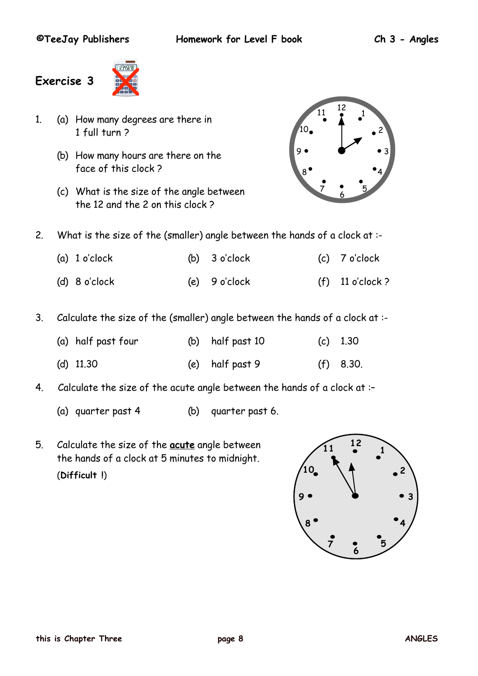

- 1. (a) How many degrees are there in 1 full turn ?
	- (b) How many hours are there on the face of this clock ?
	- (c) What is the size of the angle between the 12 and the 2 on this clock ?



- 2. What is the size of the (smaller) angle between the hands of a clock at :-
	- (a) 1 o'clock (b) 3 o'clock (c) 7 o'clock (d) 8 o'clock (e) 9 o'clock (f) 11 o'clock ?
- 3. Calculate the size of the (smaller) angle between the hands of a clock at :-

| (a) half past four | (b) half past 10 | (c) $1.30$  |
|--------------------|------------------|-------------|
| (d) $11.30$        | (e) half past 9  | $(f)$ 8.30. |

- 4. Calculate the size of the acute angle between the hands of a clock at :–
	- (a) quarter past 4 (b) quarter past 6.
- 5. Calculate the size of the **acute** angle between the hands of a clock at 5 minutes to midnight. (**Difficult !**)